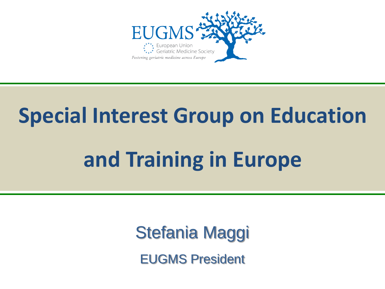

# **Special Interest Group on Education**

# **and Training in Europe**

Stefania Maggi EUGMS President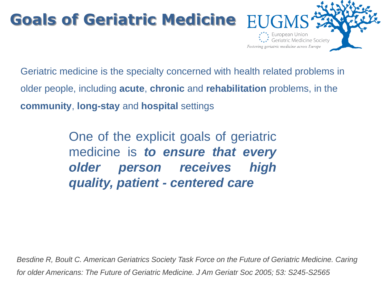#### **Goals of Geriatric Medicine**

Geriatric medicine is the specialty concerned with health related problems in older people, including **acute**, **chronic** and **rehabilitation** problems, in the **community**, **long-stay** and **hospital** settings

Geriatric Medicine Society

Fostering geriatric medicine across Europe

One of the explicit goals of geriatric medicine is *to ensure that every older person receives high quality, patient - centered care*

*Besdine R, Boult C. American Geriatrics Society Task Force on the Future of Geriatric Medicine. Caring for older Americans: The Future of Geriatric Medicine. J Am Geriatr Soc 2005; 53: S245-S2565*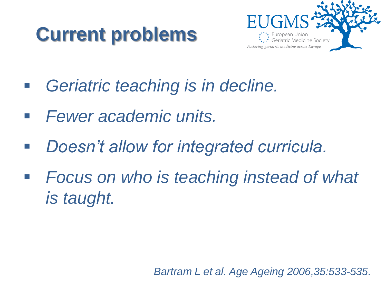## **Current problems**



- *Geriatric teaching is in decline.*
- *Fewer academic units.*
- *Doesn't allow for integrated curricula.*
- *Focus on who is teaching instead of what is taught.*

*Bartram L et al. Age Ageing 2006,35:533-535.*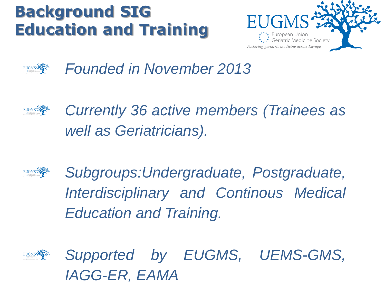### **Background SIG Education and Training**





*Founded in November 2013*



*Currently 36 active members (Trainees as well as Geriatricians).*



*Subgroups:Undergraduate, Postgraduate, Interdisciplinary and Continous Medical Education and Training.*



*Supported by EUGMS, UEMS-GMS, IAGG-ER, EAMA*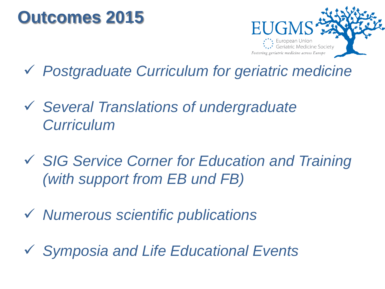### **Outcomes 2015**



- *Postgraduate Curriculum for geriatric medicine*
- *Several Translations of undergraduate Curriculum*
- *SIG Service Corner for Education and Training (with support from EB und FB)*
- *Numerous scientific publications*
- *Symposia and Life Educational Events*